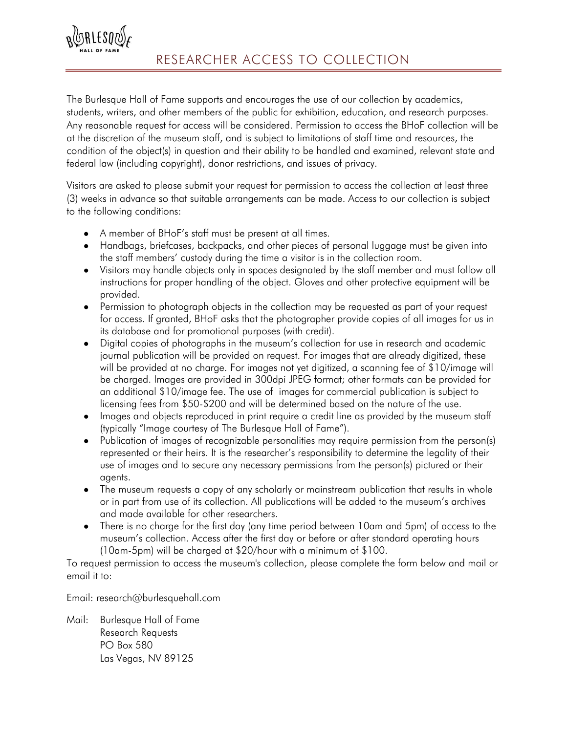

The Burlesque Hall of Fame supports and encourages the use of our collection by academics, students, writers, and other members of the public for exhibition, education, and research purposes. Any reasonable request for access will be considered. Permission to access the BHoF collection will be at the discretion of the museum staff, and is subject to limitations of staff time and resources, the condition of the object(s) in question and their ability to be handled and examined, relevant state and federal law (including copyright), donor restrictions, and issues of privacy.

Visitors are asked to please submit your request for permission to access the collection at least three (3) weeks in advance so that suitable arrangements can be made. Access to our collection is subject to the following conditions:

- A member of BHoF's staff must be present at all times.
- Handbags, briefcases, backpacks, and other pieces of personal luggage must be given into the staff members' custody during the time a visitor is in the collection room.
- Visitors may handle objects only in spaces designated by the staff member and must follow all instructions for proper handling of the object. Gloves and other protective equipment will be provided.
- Permission to photograph objects in the collection may be requested as part of your request for access. If granted, BHoF asks that the photographer provide copies of all images for us in its database and for promotional purposes (with credit).
- Digital copies of photographs in the museum's collection for use in research and academic journal publication will be provided on request. For images that are already digitized, these will be provided at no charge. For images not yet digitized, a scanning fee of \$10/image will be charged. Images are provided in 300dpi JPEG format; other formats can be provided for an additional \$10/image fee. The use of images for commercial publication is subject to licensing fees from \$50-\$200 and will be determined based on the nature of the use.
- Images and objects reproduced in print require a credit line as provided by the museum staff (typically "Image courtesy of The Burlesque Hall of Fame").
- Publication of images of recognizable personalities may require permission from the person(s) represented or their heirs. It is the researcher's responsibility to determine the legality of their use of images and to secure any necessary permissions from the person(s) pictured or their agents.
- The museum requests a copy of any scholarly or mainstream publication that results in whole or in part from use of its collection. All publications will be added to the museum's archives and made available for other researchers.
- There is no charge for the first day (any time period between 10am and 5pm) of access to the museum's collection. Access after the first day or before or after standard operating hours (10am-5pm) will be charged at \$20/hour with a minimum of \$100.

To request permission to access the museum's collection, please complete the form below and mail or email it to:

Email: research@burlesquehall.com

Mail: Burlesque Hall of Fame Research Requests PO Box 580 Las Vegas, NV 89125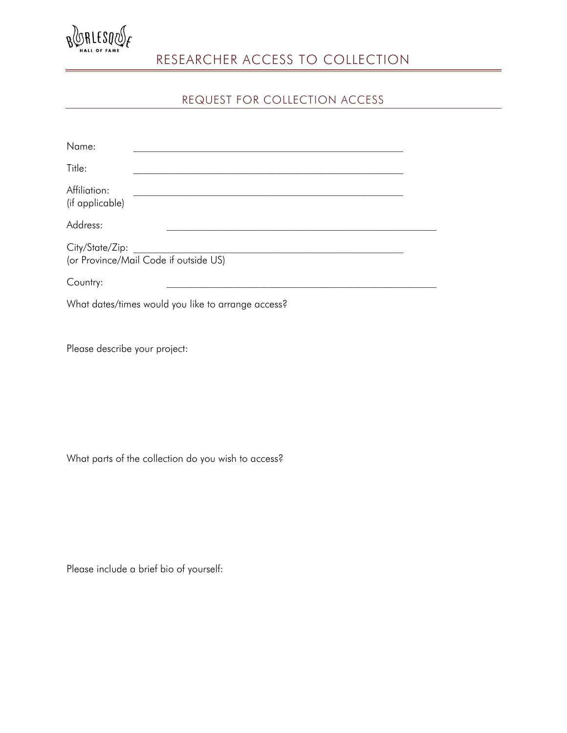

## RESEARCHER ACCESS TO COLLECTION

## REQUEST FOR COLLECTION ACCESS

| Name:                                                    |                                                    |  |
|----------------------------------------------------------|----------------------------------------------------|--|
| Title:                                                   |                                                    |  |
| Affiliation:<br>(if applicable)                          |                                                    |  |
| Address:                                                 |                                                    |  |
| City/State/Zip:<br>(or Province/Mail Code if outside US) |                                                    |  |
| Country:                                                 |                                                    |  |
|                                                          | What dates/times would you like to arrange access? |  |

Please describe your project:

What parts of the collection do you wish to access?

Please include a brief bio of yourself: